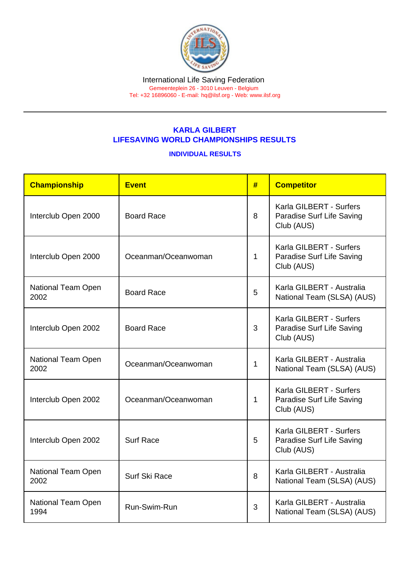## KARLA GILBERT LIFESAVING WORLD CHAMPIONSHIPS RESULTS

## INDIVIDUAL RESULTS

| Championship               | <b>Event</b>        | # | <b>Competitor</b>                                                  |  |
|----------------------------|---------------------|---|--------------------------------------------------------------------|--|
| Interclub Open 2000        | <b>Board Race</b>   |   | Karla GILBERT - Surfers<br>Paradise Surf Life Saving<br>Club (AUS) |  |
| Interclub Open 2000        | Oceanman/Oceanwoman |   | Karla GILBERT - Surfers<br>Paradise Surf Life Saving<br>Club (AUS) |  |
| National Team Open<br>2002 | <b>Board Race</b>   | 5 | Karla GILBERT - Australia<br>National Team (SLSA) (AUS)            |  |
| Interclub Open 2002        | <b>Board Race</b>   | 3 | Karla GILBERT - Surfers<br>Paradise Surf Life Saving<br>Club (AUS) |  |
| National Team Open<br>2002 | Oceanman/Oceanwoman |   | Karla GILBERT - Australia<br>National Team (SLSA) (AUS)            |  |
| Interclub Open 2002        | Oceanman/Oceanwoman | 1 | Karla GILBERT - Surfers<br>Paradise Surf Life Saving<br>Club (AUS) |  |
| Interclub Open 2002        | <b>Surf Race</b>    | 5 | Karla GILBERT - Surfers<br>Paradise Surf Life Saving<br>Club (AUS) |  |
| National Team Open<br>2002 | Surf Ski Race       | 8 | Karla GILBERT - Australia<br>National Team (SLSA) (AUS)            |  |
| National Team Open<br>1994 | Run-Swim-Run        |   | Karla GILBERT - Australia<br>National Team (SLSA) (AUS)            |  |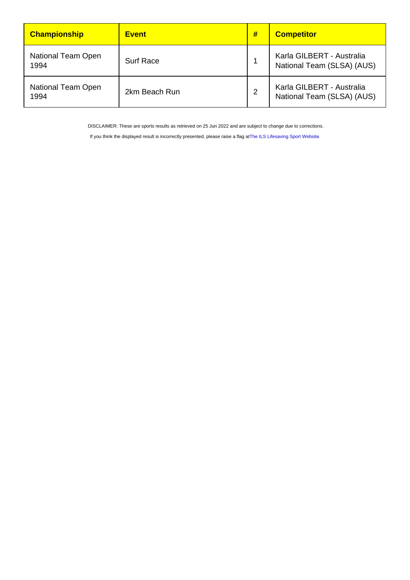| Championship                      | <b>Event</b>     | # | <b>Competitor</b>                                       |
|-----------------------------------|------------------|---|---------------------------------------------------------|
| National Team Open<br>1994        | <b>Surf Race</b> |   | Karla GILBERT - Australia<br>National Team (SLSA) (AUS) |
| <b>National Team Open</b><br>1994 | 2km Beach Run    |   | Karla GILBERT - Australia<br>National Team (SLSA) (AUS) |

DISCLAIMER: These are sports results as retrieved on 25 Jun 2022 and are subject to change due to corrections.

If you think the displayed result is incorrectly presented, please raise a flag at [The ILS Lifesaving Sport Website.](https://sport.ilsf.org)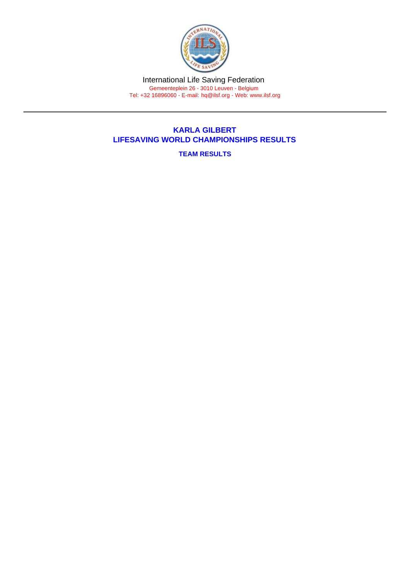International Life Saving Federation Gemeenteplein 26 - 3010 Leuven - Belgium Tel: +32 16896060 - E-mail: [hq@ilsf.org](mailto:hq@ilsf.org) - Web: [www.ilsf.org](https://www.ilsf.org)

## KARLA GILBERT LIFESAVING WORLD CHAMPIONSHIPS RESULTS

TEAM RESULTS